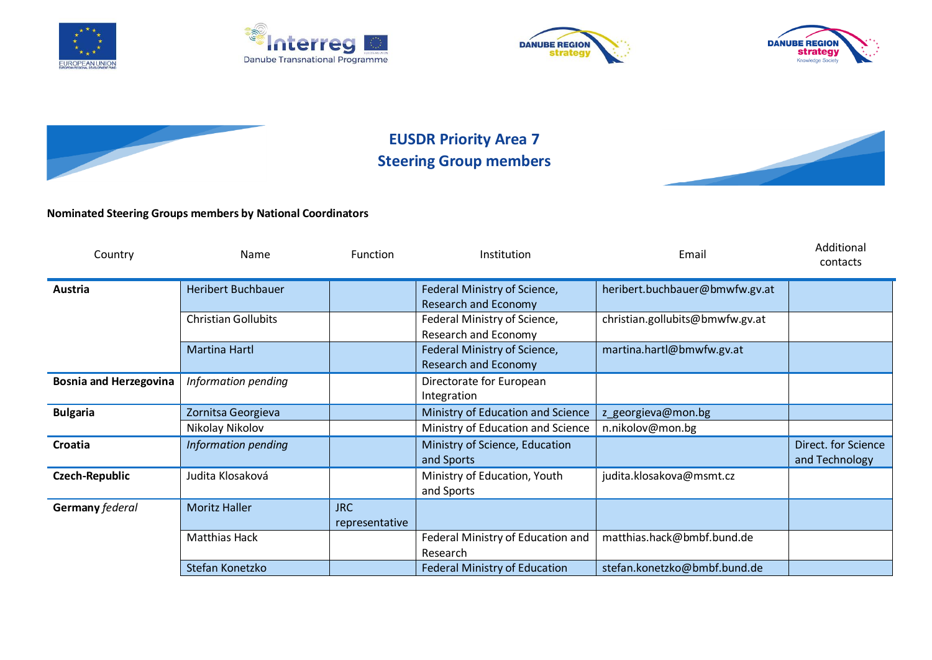









## **EUSDR Priority Area 7 Steering Group members**



## **Nominated Steering Groups members by National Coordinators**

| Country                       | Name                       | <b>Function</b> | <b>Institution</b>                   | Email                           | Additional<br>contacts |
|-------------------------------|----------------------------|-----------------|--------------------------------------|---------------------------------|------------------------|
| Austria                       | <b>Heribert Buchbauer</b>  |                 | Federal Ministry of Science,         | heribert.buchbauer@bmwfw.gv.at  |                        |
|                               |                            |                 | <b>Research and Economy</b>          |                                 |                        |
|                               | <b>Christian Gollubits</b> |                 | Federal Ministry of Science,         | christian.gollubits@bmwfw.gv.at |                        |
|                               |                            |                 | Research and Economy                 |                                 |                        |
|                               | <b>Martina Hartl</b>       |                 | Federal Ministry of Science,         | martina.hartl@bmwfw.gv.at       |                        |
|                               |                            |                 | <b>Research and Economy</b>          |                                 |                        |
| <b>Bosnia and Herzegovina</b> | Information pending        |                 | Directorate for European             |                                 |                        |
|                               |                            |                 | Integration                          |                                 |                        |
| <b>Bulgaria</b>               | Zornitsa Georgieva         |                 | Ministry of Education and Science    | z_georgieva@mon.bg              |                        |
|                               | Nikolay Nikolov            |                 | Ministry of Education and Science    | n.nikolov@mon.bg                |                        |
| Croatia                       | Information pending        |                 | Ministry of Science, Education       |                                 | Direct. for Science    |
|                               |                            |                 | and Sports                           |                                 | and Technology         |
| Czech-Republic                | Judita Klosaková           |                 | Ministry of Education, Youth         | judita.klosakova@msmt.cz        |                        |
|                               |                            |                 | and Sports                           |                                 |                        |
| Germany federal               | <b>Moritz Haller</b>       | <b>JRC</b>      |                                      |                                 |                        |
|                               |                            | representative  |                                      |                                 |                        |
|                               | <b>Matthias Hack</b>       |                 | Federal Ministry of Education and    | matthias.hack@bmbf.bund.de      |                        |
|                               |                            |                 | Research                             |                                 |                        |
|                               | Stefan Konetzko            |                 | <b>Federal Ministry of Education</b> | stefan.konetzko@bmbf.bund.de    |                        |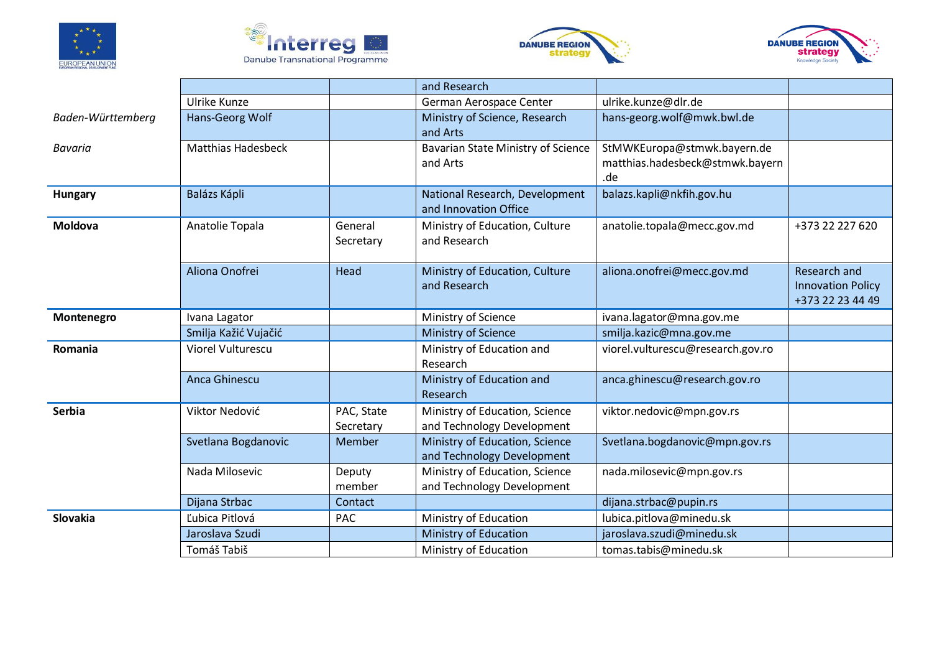







|                   |                           |                         | and Research                                                 |                                                                       |                                                              |
|-------------------|---------------------------|-------------------------|--------------------------------------------------------------|-----------------------------------------------------------------------|--------------------------------------------------------------|
|                   | <b>Ulrike Kunze</b>       |                         | German Aerospace Center                                      | ulrike.kunze@dlr.de                                                   |                                                              |
| Baden-Württemberg | Hans-Georg Wolf           |                         | Ministry of Science, Research<br>and Arts                    | hans-georg.wolf@mwk.bwl.de                                            |                                                              |
| <b>Bavaria</b>    | <b>Matthias Hadesbeck</b> |                         | Bavarian State Ministry of Science<br>and Arts               | StMWKEuropa@stmwk.bayern.de<br>matthias.hadesbeck@stmwk.bayern<br>.de |                                                              |
| Hungary           | Balázs Kápli              |                         | National Research, Development<br>and Innovation Office      | balazs.kapli@nkfih.gov.hu                                             |                                                              |
| Moldova           | Anatolie Topala           | General<br>Secretary    | Ministry of Education, Culture<br>and Research               | anatolie.topala@mecc.gov.md                                           | +373 22 227 620                                              |
|                   | Aliona Onofrei            | Head                    | Ministry of Education, Culture<br>and Research               | aliona.onofrei@mecc.gov.md                                            | Research and<br><b>Innovation Policy</b><br>+373 22 23 44 49 |
| Montenegro        | Ivana Lagator             |                         | Ministry of Science                                          | ivana.lagator@mna.gov.me                                              |                                                              |
|                   | Smilja Kažić Vujačić      |                         | Ministry of Science                                          | smilja.kazic@mna.gov.me                                               |                                                              |
| Romania           | <b>Viorel Vulturescu</b>  |                         | Ministry of Education and<br>Research                        | viorel.vulturescu@research.gov.ro                                     |                                                              |
|                   | Anca Ghinescu             |                         | Ministry of Education and<br>Research                        | anca.ghinescu@research.gov.ro                                         |                                                              |
| Serbia            | Viktor Nedović            | PAC, State<br>Secretary | Ministry of Education, Science<br>and Technology Development | viktor.nedovic@mpn.gov.rs                                             |                                                              |
|                   | Svetlana Bogdanovic       | Member                  | Ministry of Education, Science<br>and Technology Development | Svetlana.bogdanovic@mpn.gov.rs                                        |                                                              |
|                   | Nada Milosevic            | Deputy<br>member        | Ministry of Education, Science<br>and Technology Development | nada.milosevic@mpn.gov.rs                                             |                                                              |
|                   | Dijana Strbac             | Contact                 |                                                              | dijana.strbac@pupin.rs                                                |                                                              |
| Slovakia          | Ľubica Pitlová            | <b>PAC</b>              | Ministry of Education                                        | lubica.pitlova@minedu.sk                                              |                                                              |
|                   | Jaroslava Szudi           |                         | <b>Ministry of Education</b>                                 | jaroslava.szudi@minedu.sk                                             |                                                              |
|                   | Tomáš Tabiš               |                         | Ministry of Education                                        | tomas.tabis@minedu.sk                                                 |                                                              |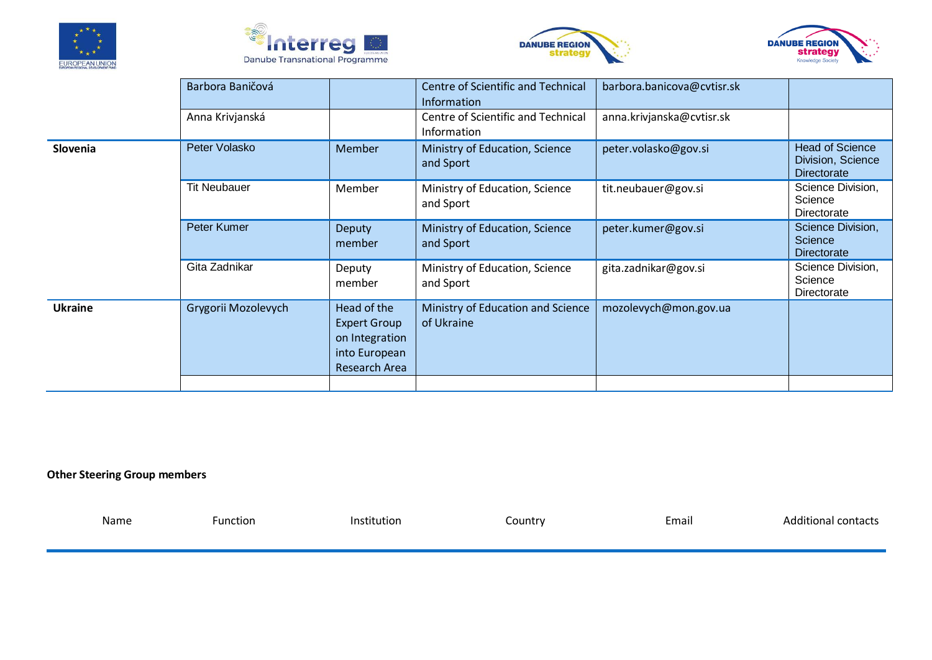







|                | Barbora Baničová    |                                                                                               | <b>Centre of Scientific and Technical</b><br>Information | barbora.banicova@cvtisr.sk |                                                                   |
|----------------|---------------------|-----------------------------------------------------------------------------------------------|----------------------------------------------------------|----------------------------|-------------------------------------------------------------------|
|                | Anna Krivjanská     |                                                                                               | Centre of Scientific and Technical<br>Information        | anna.krivjanska@cvtisr.sk  |                                                                   |
| Slovenia       | Peter Volasko       | Member                                                                                        | Ministry of Education, Science<br>and Sport              | peter.volasko@gov.si       | <b>Head of Science</b><br>Division, Science<br><b>Directorate</b> |
|                | <b>Tit Neubauer</b> | Member                                                                                        | Ministry of Education, Science<br>and Sport              | tit.neubauer@gov.si        | Science Division,<br>Science<br>Directorate                       |
|                | Peter Kumer         | <b>Deputy</b><br>member                                                                       | Ministry of Education, Science<br>and Sport              | peter.kumer@gov.si         | Science Division,<br>Science<br>Directorate                       |
|                | Gita Zadnikar       | Deputy<br>member                                                                              | Ministry of Education, Science<br>and Sport              | gita.zadnikar@gov.si       | Science Division,<br>Science<br>Directorate                       |
| <b>Ukraine</b> | Grygorii Mozolevych | Head of the<br><b>Expert Group</b><br>on Integration<br>into European<br><b>Research Area</b> | Ministry of Education and Science<br>of Ukraine          | mozolevych@mon.gov.ua      |                                                                   |
|                |                     |                                                                                               |                                                          |                            |                                                                   |

## **Other Steering Group members**

| Name | Function | Institution | Country | Email | <b>Additional contacts</b> |
|------|----------|-------------|---------|-------|----------------------------|
|      |          |             |         |       |                            |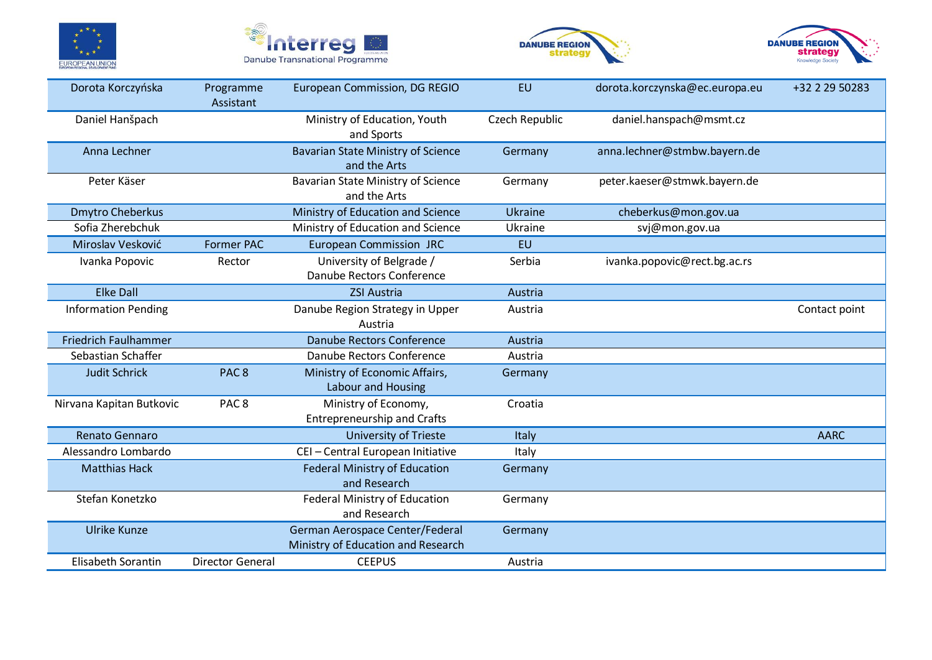







| Dorota Korczyńska           | Programme<br>Assistant  | European Commission, DG REGIO                                         | <b>EU</b>      | dorota.korczynska@ec.europa.eu | +32 2 29 50283 |
|-----------------------------|-------------------------|-----------------------------------------------------------------------|----------------|--------------------------------|----------------|
| Daniel Hanšpach             |                         | Ministry of Education, Youth<br>and Sports                            | Czech Republic | daniel.hanspach@msmt.cz        |                |
| Anna Lechner                |                         | Bavarian State Ministry of Science<br>and the Arts                    | Germany        | anna.lechner@stmbw.bayern.de   |                |
| Peter Käser                 |                         | <b>Bavarian State Ministry of Science</b><br>and the Arts             | Germany        | peter.kaeser@stmwk.bayern.de   |                |
| <b>Dmytro Cheberkus</b>     |                         | Ministry of Education and Science                                     | <b>Ukraine</b> | cheberkus@mon.gov.ua           |                |
| Sofia Zherebchuk            |                         | Ministry of Education and Science                                     | Ukraine        | svj@mon.gov.ua                 |                |
| Miroslav Vesković           | <b>Former PAC</b>       | <b>European Commission JRC</b>                                        | <b>EU</b>      |                                |                |
| Ivanka Popovic              | Rector                  | University of Belgrade /<br>Danube Rectors Conference                 | Serbia         | ivanka.popovic@rect.bg.ac.rs   |                |
| <b>Elke Dall</b>            |                         | <b>ZSI Austria</b>                                                    | Austria        |                                |                |
| <b>Information Pending</b>  |                         | Danube Region Strategy in Upper<br>Austria                            | Austria        |                                | Contact point  |
| <b>Friedrich Faulhammer</b> |                         | Danube Rectors Conference                                             | Austria        |                                |                |
| Sebastian Schaffer          |                         | Danube Rectors Conference                                             | Austria        |                                |                |
| <b>Judit Schrick</b>        | PAC <sub>8</sub>        | Ministry of Economic Affairs,<br><b>Labour and Housing</b>            | Germany        |                                |                |
| Nirvana Kapitan Butkovic    | PAC <sub>8</sub>        | Ministry of Economy,<br><b>Entrepreneurship and Crafts</b>            | Croatia        |                                |                |
| Renato Gennaro              |                         | <b>University of Trieste</b>                                          | <b>Italy</b>   |                                | <b>AARC</b>    |
| Alessandro Lombardo         |                         | CEI - Central European Initiative                                     | Italy          |                                |                |
| <b>Matthias Hack</b>        |                         | <b>Federal Ministry of Education</b><br>and Research                  | Germany        |                                |                |
| Stefan Konetzko             |                         | Federal Ministry of Education<br>and Research                         | Germany        |                                |                |
| <b>Ulrike Kunze</b>         |                         | German Aerospace Center/Federal<br>Ministry of Education and Research | Germany        |                                |                |
| Elisabeth Sorantin          | <b>Director General</b> | <b>CEEPUS</b>                                                         | Austria        |                                |                |